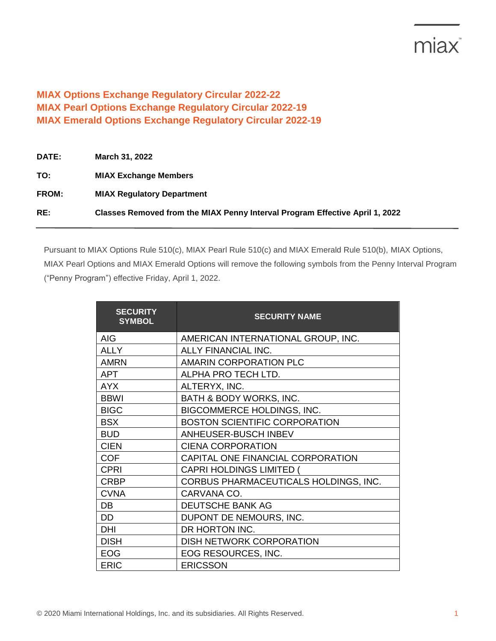## miax<sup>®</sup>

## **MIAX Options Exchange Regulatory Circular 2022-22 MIAX Pearl Options Exchange Regulatory Circular 2022-19 MIAX Emerald Options Exchange Regulatory Circular 2022-19**

| <b>DATE:</b> | March 31, 2022                                                               |
|--------------|------------------------------------------------------------------------------|
| TO:          | <b>MIAX Exchange Members</b>                                                 |
| FROM:        | <b>MIAX Regulatory Department</b>                                            |
| RE:          | Classes Removed from the MIAX Penny Interval Program Effective April 1, 2022 |

Pursuant to MIAX Options Rule 510(c), MIAX Pearl Rule 510(c) and MIAX Emerald Rule 510(b), MIAX Options, MIAX Pearl Options and MIAX Emerald Options will remove the following symbols from the Penny Interval Program ("Penny Program") effective Friday, April 1, 2022.

| <b>SECURITY</b><br><b>SYMBOL</b> | <b>SECURITY NAME</b>                  |
|----------------------------------|---------------------------------------|
| <b>AIG</b>                       | AMERICAN INTERNATIONAL GROUP, INC.    |
| <b>ALLY</b>                      | ALLY FINANCIAL INC.                   |
| <b>AMRN</b>                      | <b>AMARIN CORPORATION PLC</b>         |
| <b>APT</b>                       | ALPHA PRO TECH LTD.                   |
| <b>AYX</b>                       | ALTERYX, INC.                         |
| <b>BBWI</b>                      | BATH & BODY WORKS, INC.               |
| <b>BIGC</b>                      | BIGCOMMERCE HOLDINGS, INC.            |
| <b>BSX</b>                       | <b>BOSTON SCIENTIFIC CORPORATION</b>  |
| <b>BUD</b>                       | ANHEUSER-BUSCH INBEV                  |
| <b>CIEN</b>                      | <b>CIENA CORPORATION</b>              |
| <b>COF</b>                       | CAPITAL ONE FINANCIAL CORPORATION     |
| <b>CPRI</b>                      | <b>CAPRI HOLDINGS LIMITED (</b>       |
| <b>CRBP</b>                      | CORBUS PHARMACEUTICALS HOLDINGS, INC. |
| <b>CVNA</b>                      | CARVANA CO.                           |
| DB                               | DEUTSCHE BANK AG                      |
| DD                               | DUPONT DE NEMOURS, INC.               |
| DHI                              | DR HORTON INC.                        |
| <b>DISH</b>                      | DISH NETWORK CORPORATION              |
| <b>EOG</b>                       | EOG RESOURCES, INC.                   |
| <b>ERIC</b>                      | <b>ERICSSON</b>                       |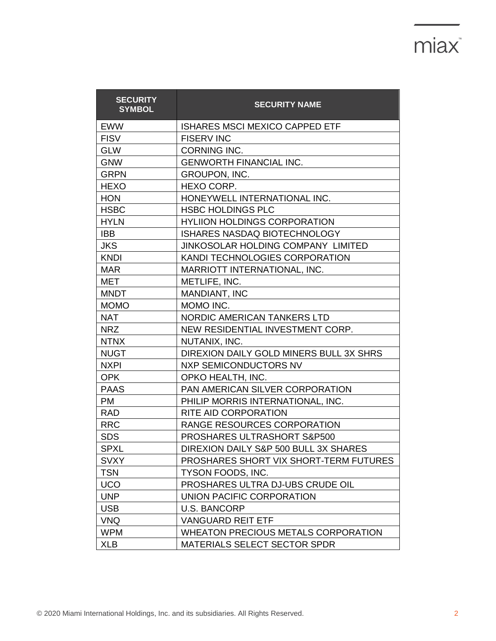## miax<sup>\*</sup>

| <b>SECURITY</b><br><b>SYMBOL</b> | <b>SECURITY NAME</b>                       |
|----------------------------------|--------------------------------------------|
| <b>EWW</b>                       | <b>ISHARES MSCI MEXICO CAPPED ETF</b>      |
| <b>FISV</b>                      | <b>FISERV INC</b>                          |
| <b>GLW</b>                       | <b>CORNING INC.</b>                        |
| <b>GNW</b>                       | <b>GENWORTH FINANCIAL INC.</b>             |
| <b>GRPN</b>                      | <b>GROUPON, INC.</b>                       |
| <b>HEXO</b>                      | <b>HEXO CORP.</b>                          |
| <b>HON</b>                       | HONEYWELL INTERNATIONAL INC.               |
| <b>HSBC</b>                      | <b>HSBC HOLDINGS PLC</b>                   |
| <b>HYLN</b>                      | <b>HYLIION HOLDINGS CORPORATION</b>        |
| <b>IBB</b>                       | ISHARES NASDAQ BIOTECHNOLOGY               |
| <b>JKS</b>                       | JINKOSOLAR HOLDING COMPANY LIMITED         |
| <b>KNDI</b>                      | KANDI TECHNOLOGIES CORPORATION             |
| <b>MAR</b>                       | MARRIOTT INTERNATIONAL, INC.               |
| <b>MET</b>                       | METLIFE, INC.                              |
| <b>MNDT</b>                      | <b>MANDIANT, INC</b>                       |
| <b>MOMO</b>                      | MOMO INC.                                  |
| <b>NAT</b>                       | NORDIC AMERICAN TANKERS LTD                |
| <b>NRZ</b>                       | NEW RESIDENTIAL INVESTMENT CORP.           |
| <b>NTNX</b>                      | NUTANIX, INC.                              |
| <b>NUGT</b>                      | DIREXION DAILY GOLD MINERS BULL 3X SHRS    |
| <b>NXPI</b>                      | <b>NXP SEMICONDUCTORS NV</b>               |
| <b>OPK</b>                       | OPKO HEALTH, INC.                          |
| <b>PAAS</b>                      | PAN AMERICAN SILVER CORPORATION            |
| <b>PM</b>                        | PHILIP MORRIS INTERNATIONAL, INC.          |
| <b>RAD</b>                       | RITE AID CORPORATION                       |
| <b>RRC</b>                       | RANGE RESOURCES CORPORATION                |
| <b>SDS</b>                       | PROSHARES ULTRASHORT S&P500                |
| <b>SPXL</b>                      | DIREXION DAILY S&P 500 BULL 3X SHARES      |
| <b>SVXY</b>                      | PROSHARES SHORT VIX SHORT-TERM FUTURES     |
| <b>TSN</b>                       | TYSON FOODS, INC.                          |
| <b>UCO</b>                       | PROSHARES ULTRA DJ-UBS CRUDE OIL           |
| <b>UNP</b>                       | UNION PACIFIC CORPORATION                  |
| <b>USB</b>                       | <b>U.S. BANCORP</b>                        |
| <b>VNQ</b>                       | <b>VANGUARD REIT ETF</b>                   |
| <b>WPM</b>                       | <b>WHEATON PRECIOUS METALS CORPORATION</b> |
| <b>XLB</b>                       | MATERIALS SELECT SECTOR SPDR               |